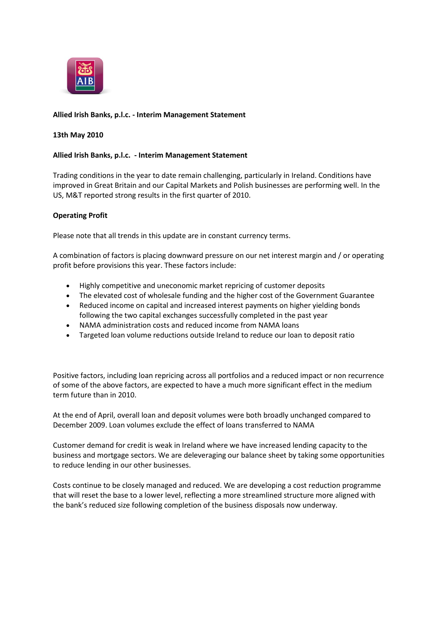

# **Allied Irish Banks, p.l.c. - Interim Management Statement**

## **13th May 2010**

## **Allied Irish Banks, p.l.c. - Interim Management Statement**

Trading conditions in the year to date remain challenging, particularly in Ireland. Conditions have improved in Great Britain and our Capital Markets and Polish businesses are performing well. In the US, M&T reported strong results in the first quarter of 2010.

## **Operating Profit**

Please note that all trends in this update are in constant currency terms.

A combination of factors is placing downward pressure on our net interest margin and / or operating profit before provisions this year. These factors include:

- Highly competitive and uneconomic market repricing of customer deposits
- The elevated cost of wholesale funding and the higher cost of the Government Guarantee
- Reduced income on capital and increased interest payments on higher yielding bonds following the two capital exchanges successfully completed in the past year
- NAMA administration costs and reduced income from NAMA loans
- Targeted loan volume reductions outside Ireland to reduce our loan to deposit ratio

Positive factors, including loan repricing across all portfolios and a reduced impact or non recurrence of some of the above factors, are expected to have a much more significant effect in the medium term future than in 2010.

At the end of April, overall loan and deposit volumes were both broadly unchanged compared to December 2009. Loan volumes exclude the effect of loans transferred to NAMA

Customer demand for credit is weak in Ireland where we have increased lending capacity to the business and mortgage sectors. We are deleveraging our balance sheet by taking some opportunities to reduce lending in our other businesses.

Costs continue to be closely managed and reduced. We are developing a cost reduction programme that will reset the base to a lower level, reflecting a more streamlined structure more aligned with the bank's reduced size following completion of the business disposals now underway.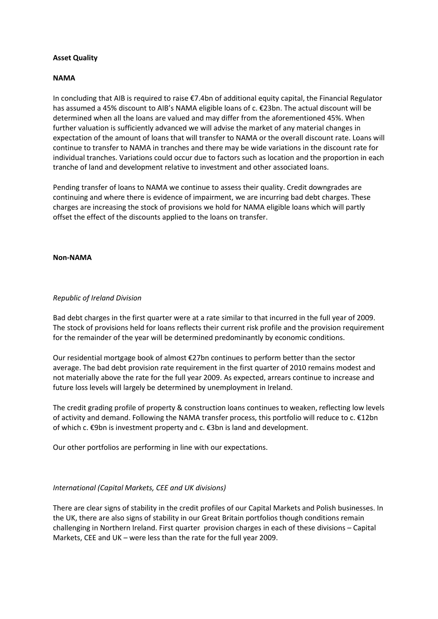# **Asset Quality**

## **NAMA**

In concluding that AIB is required to raise €7.4bn of additional equity capital, the Financial Regulator has assumed a 45% discount to AIB's NAMA eligible loans of c. €23bn. The actual discount will be determined when all the loans are valued and may differ from the aforementioned 45%. When further valuation is sufficiently advanced we will advise the market of any material changes in expectation of the amount of loans that will transfer to NAMA or the overall discount rate. Loans will continue to transfer to NAMA in tranches and there may be wide variations in the discount rate for individual tranches. Variations could occur due to factors such as location and the proportion in each tranche of land and development relative to investment and other associated loans.

Pending transfer of loans to NAMA we continue to assess their quality. Credit downgrades are continuing and where there is evidence of impairment, we are incurring bad debt charges. These charges are increasing the stock of provisions we hold for NAMA eligible loans which will partly offset the effect of the discounts applied to the loans on transfer.

## **Non-NAMA**

#### *Republic of Ireland Division*

Bad debt charges in the first quarter were at a rate similar to that incurred in the full year of 2009. The stock of provisions held for loans reflects their current risk profile and the provision requirement for the remainder of the year will be determined predominantly by economic conditions.

Our residential mortgage book of almost €27bn continues to perform better than the sector average. The bad debt provision rate requirement in the first quarter of 2010 remains modest and not materially above the rate for the full year 2009. As expected, arrears continue to increase and future loss levels will largely be determined by unemployment in Ireland.

The credit grading profile of property & construction loans continues to weaken, reflecting low levels of activity and demand. Following the NAMA transfer process, this portfolio will reduce to c. €12bn of which c. €9bn is investment property and c. €3bn is land and development.

Our other portfolios are performing in line with our expectations.

## *International (Capital Markets, CEE and UK divisions)*

There are clear signs of stability in the credit profiles of our Capital Markets and Polish businesses. In the UK, there are also signs of stability in our Great Britain portfolios though conditions remain challenging in Northern Ireland. First quarter provision charges in each of these divisions – Capital Markets, CEE and UK – were less than the rate for the full year 2009.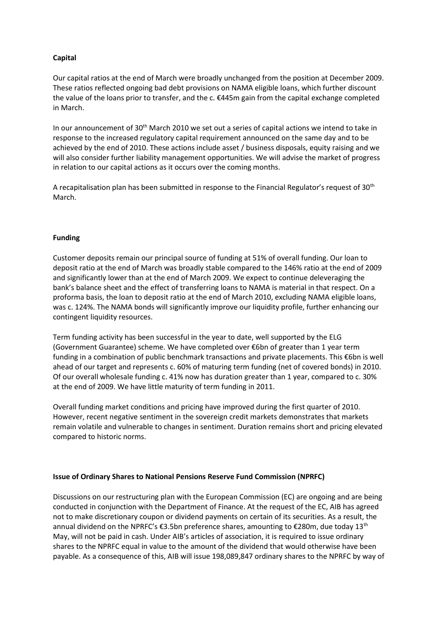# **Capital**

Our capital ratios at the end of March were broadly unchanged from the position at December 2009. These ratios reflected ongoing bad debt provisions on NAMA eligible loans, which further discount the value of the loans prior to transfer, and the c. €445m gain from the capital exchange completed in March.

In our announcement of 30<sup>th</sup> March 2010 we set out a series of capital actions we intend to take in response to the increased regulatory capital requirement announced on the same day and to be achieved by the end of 2010. These actions include asset / business disposals, equity raising and we will also consider further liability management opportunities. We will advise the market of progress in relation to our capital actions as it occurs over the coming months.

A recapitalisation plan has been submitted in response to the Financial Regulator's request of 30<sup>th</sup> March.

## **Funding**

Customer deposits remain our principal source of funding at 51% of overall funding. Our loan to deposit ratio at the end of March was broadly stable compared to the 146% ratio at the end of 2009 and significantly lower than at the end of March 2009. We expect to continue deleveraging the bank's balance sheet and the effect of transferring loans to NAMA is material in that respect. On a proforma basis, the loan to deposit ratio at the end of March 2010, excluding NAMA eligible loans, was c. 124%. The NAMA bonds will significantly improve our liquidity profile, further enhancing our contingent liquidity resources.

Term funding activity has been successful in the year to date, well supported by the ELG (Government Guarantee) scheme. We have completed over €6bn of greater than 1 year term funding in a combination of public benchmark transactions and private placements. This €6bn is well ahead of our target and represents c. 60% of maturing term funding (net of covered bonds) in 2010. Of our overall wholesale funding c. 41% now has duration greater than 1 year, compared to c. 30% at the end of 2009. We have little maturity of term funding in 2011.

Overall funding market conditions and pricing have improved during the first quarter of 2010. However, recent negative sentiment in the sovereign credit markets demonstrates that markets remain volatile and vulnerable to changes in sentiment. Duration remains short and pricing elevated compared to historic norms.

## **Issue of Ordinary Shares to National Pensions Reserve Fund Commission (NPRFC)**

Discussions on our restructuring plan with the European Commission (EC) are ongoing and are being conducted in conjunction with the Department of Finance. At the request of the EC, AIB has agreed not to make discretionary coupon or dividend payments on certain of its securities. As a result, the annual dividend on the NPRFC's €3.5bn preference shares, amounting to €280m, due today 13<sup>th</sup> May, will not be paid in cash. Under AIB's articles of association, it is required to issue ordinary shares to the NPRFC equal in value to the amount of the dividend that would otherwise have been payable. As a consequence of this, AIB will issue 198,089,847 ordinary shares to the NPRFC by way of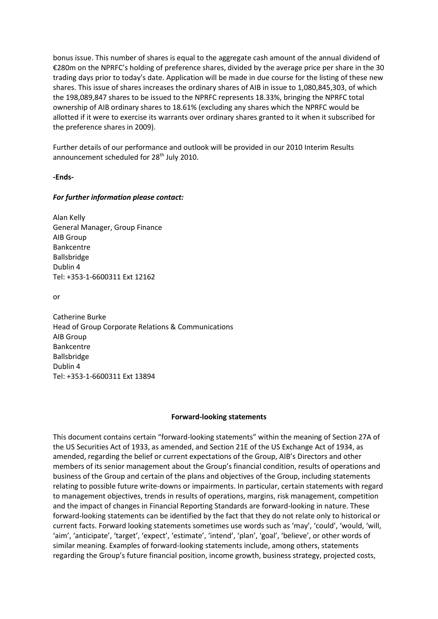bonus issue. This number of shares is equal to the aggregate cash amount of the annual dividend of €280m on the NPRFC's holding of preference shares, divided by the average price per share in the 30 trading days prior to today's date. Application will be made in due course for the listing of these new shares. This issue of shares increases the ordinary shares of AIB in issue to 1,080,845,303, of which the 198,089,847 shares to be issued to the NPRFC represents 18.33%, bringing the NPRFC total ownership of AIB ordinary shares to 18.61% (excluding any shares which the NPRFC would be allotted if it were to exercise its warrants over ordinary shares granted to it when it subscribed for the preference shares in 2009).

Further details of our performance and outlook will be provided in our 2010 Interim Results announcement scheduled for 28<sup>th</sup> July 2010.

**-Ends-**

## *For further information please contact:*

Alan Kelly General Manager, Group Finance AIB Group Bankcentre Ballsbridge Dublin 4 Tel: +353-1-6600311 Ext 12162

or

Catherine Burke Head of Group Corporate Relations & Communications AIB Group Bankcentre Ballsbridge Dublin 4 Tel: +353-1-6600311 Ext 13894

## **Forward-looking statements**

This document contains certain "forward-looking statements" within the meaning of Section 27A of the US Securities Act of 1933, as amended, and Section 21E of the US Exchange Act of 1934, as amended, regarding the belief or current expectations of the Group, AIB's Directors and other members of its senior management about the Group's financial condition, results of operations and business of the Group and certain of the plans and objectives of the Group, including statements relating to possible future write-downs or impairments. In particular, certain statements with regard to management objectives, trends in results of operations, margins, risk management, competition and the impact of changes in Financial Reporting Standards are forward-looking in nature. These forward-looking statements can be identified by the fact that they do not relate only to historical or current facts. Forward looking statements sometimes use words such as 'may', 'could', 'would, 'will, 'aim', 'anticipate', 'target', 'expect', 'estimate', 'intend', 'plan', 'goal', 'believe', or other words of similar meaning. Examples of forward-looking statements include, among others, statements regarding the Group's future financial position, income growth, business strategy, projected costs,